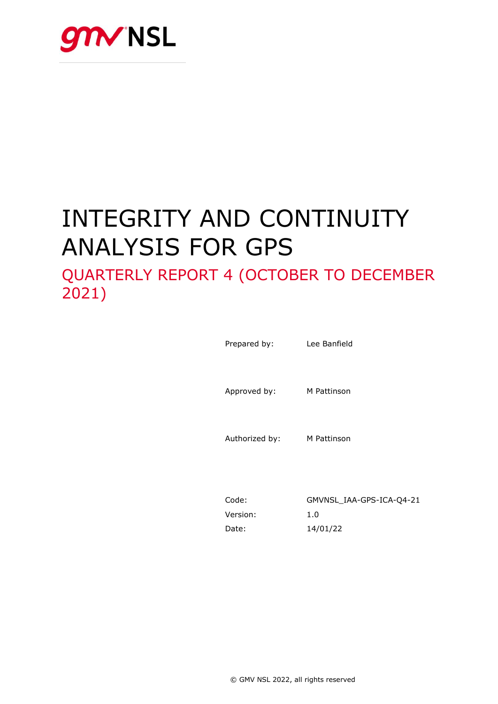

# INTEGRITY AND CONTINUITY ANALYSIS FOR GPS

# QUARTERLY REPORT 4 (OCTOBER TO DECEMBER 2021)

Prepared by: Lee Banfield Approved by: M Pattinson Authorized by: M Pattinson

Code: GMVNSL\_IAA-GPS-ICA-Q4-21 Version: 1.0 Date: 14/01/22

© GMV NSL 2022, all rights reserved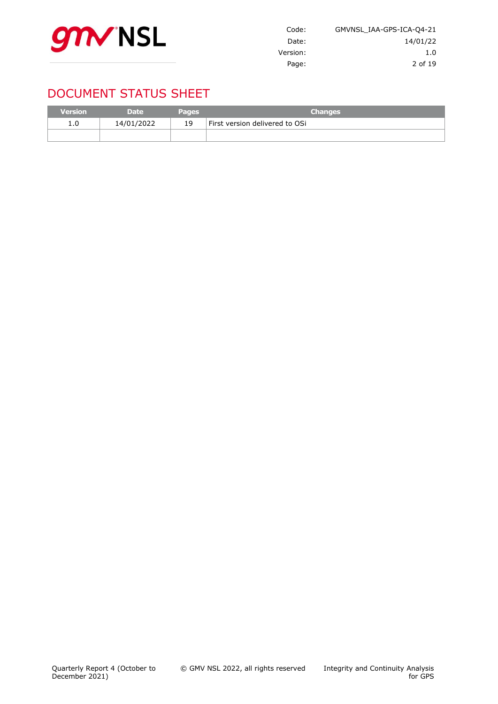

| Code:    | GMVNSL IAA-GPS-ICA-04-21 |
|----------|--------------------------|
| Date:    | 14/01/22                 |
| Version: | 1.0                      |
| Page:    | 2 of 19                  |

# DOCUMENT STATUS SHEET

| <b>Version</b> | <b>Date</b> | <b>Pages</b> | <b>Changes</b>                 |
|----------------|-------------|--------------|--------------------------------|
| 1.0            | 14/01/2022  | 19           | First version delivered to OSi |
|                |             |              |                                |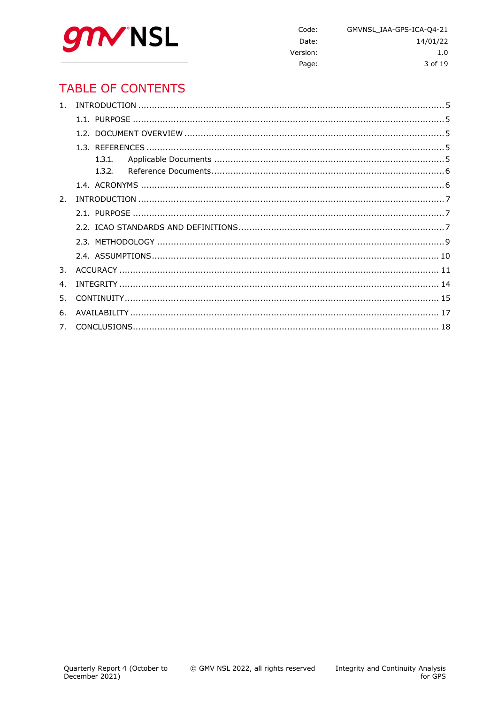

Code: GMVNSL\_IAA-GPS-ICA-Q4-21 Date: 14/01/22 Version:  $1.0$ Page: 3 of 19

# **TABLE OF CONTENTS**

| 1 <sup>1</sup> |  |
|----------------|--|
|                |  |
|                |  |
|                |  |
|                |  |
|                |  |
|                |  |
| 2.             |  |
|                |  |
|                |  |
|                |  |
|                |  |
| 3.             |  |
| 4 <sub>1</sub> |  |
| 5.             |  |
| 6.             |  |
|                |  |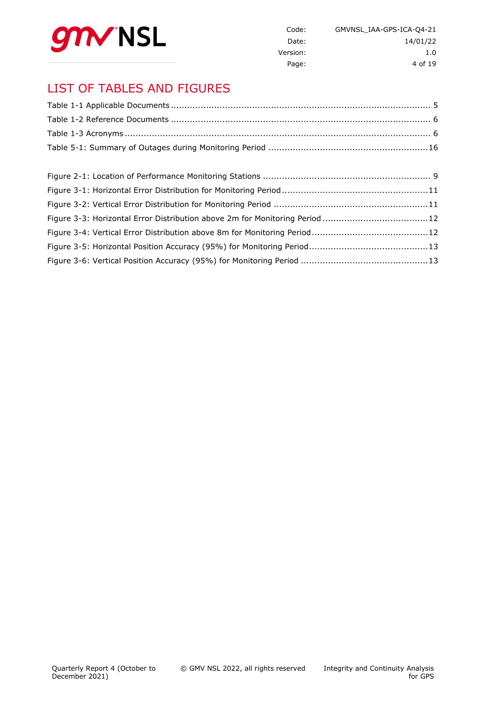

| GMVNSL IAA-GPS-ICA-04-21 | Code:    |
|--------------------------|----------|
| 14/01/22                 | Date:    |
| 1.0                      | Version: |
| 4 of 19                  | Page:    |

# LIST OF TABLES AND FIGURES

| Figure 3-3: Horizontal Error Distribution above 2m for Monitoring Period 12 |  |
|-----------------------------------------------------------------------------|--|
|                                                                             |  |
|                                                                             |  |
|                                                                             |  |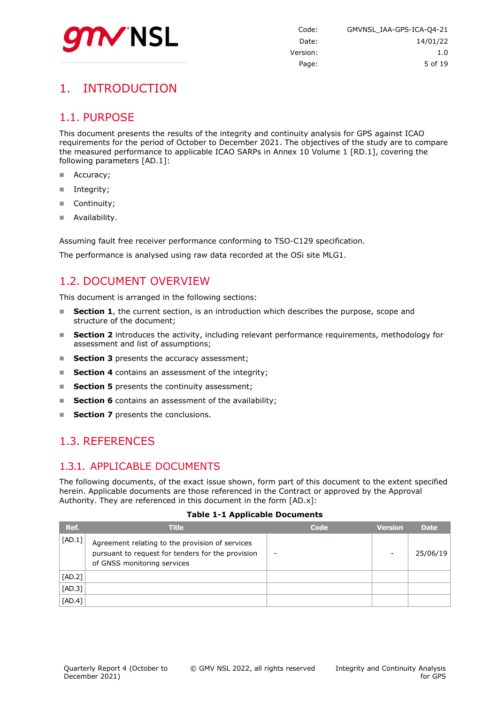

# <span id="page-4-0"></span>1. INTRODUCTION

### <span id="page-4-1"></span>1.1. PURPOSE

This document presents the results of the integrity and continuity analysis for GPS against ICAO requirements for the period of October to December 2021. The objectives of the study are to compare the measured performance to applicable ICAO SARPs in Annex 10 Volume 1 [RD.1], covering the following parameters [AD.1]:

- Accuracy;
- Integrity;
- Continuity;
- Availability.

Assuming fault free receiver performance conforming to TSO-C129 specification.

<span id="page-4-2"></span>The performance is analysed using raw data recorded at the OSi site MLG1.

# 1.2. DOCUMENT OVERVIEW

This document is arranged in the following sections:

- **Section 1**, the current section, is an introduction which describes the purpose, scope and structure of the document;
- **Section 2** introduces the activity, including relevant performance requirements, methodology for assessment and list of assumptions;
- **Section 3** presents the accuracy assessment;
- **Section 4** contains an assessment of the integrity;
- **Section 5** presents the continuity assessment;
- **Section 6** contains an assessment of the availability;
- <span id="page-4-3"></span>**Section 7** presents the conclusions.

### 1.3. REFERENCES

### <span id="page-4-4"></span>1.3.1. APPLICABLE DOCUMENTS

The following documents, of the exact issue shown, form part of this document to the extent specified herein. Applicable documents are those referenced in the Contract or approved by the Approval Authority. They are referenced in this document in the form [AD.x]:

#### **Table 1-1 Applicable Documents**

<span id="page-4-5"></span>

| Ref.     | <b>Title</b>                                                                                                                        | Code | <b>Version</b> | <b>Date</b> |
|----------|-------------------------------------------------------------------------------------------------------------------------------------|------|----------------|-------------|
| [AD.1]   | Agreement relating to the provision of services<br>pursuant to request for tenders for the provision<br>of GNSS monitoring services |      | -              | 25/06/19    |
| $[AD.2]$ |                                                                                                                                     |      |                |             |
| $[AD.3]$ |                                                                                                                                     |      |                |             |
| $[AD.4]$ |                                                                                                                                     |      |                |             |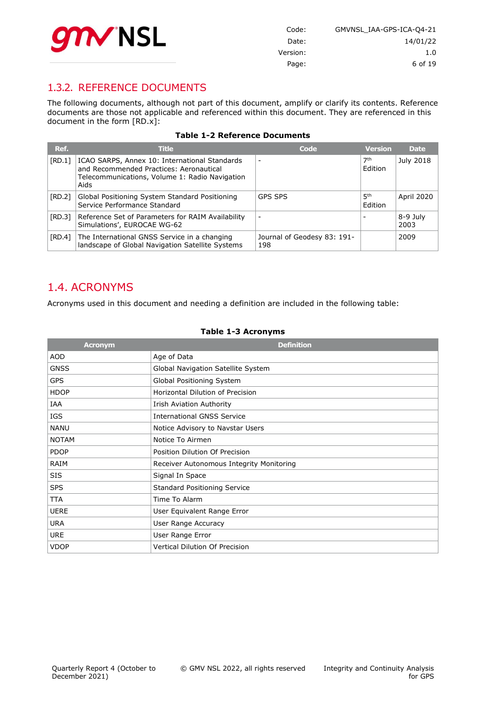

| Code:    | GMVNSL IAA-GPS-ICA-04-21 |
|----------|--------------------------|
| Date:    | 14/01/22                 |
| Version: | 1.0                      |
| Page:    | 6 of 19                  |

### <span id="page-5-0"></span>1.3.2. REFERENCE DOCUMENTS

The following documents, although not part of this document, amplify or clarify its contents. Reference documents are those not applicable and referenced within this document. They are referenced in this document in the form [RD.x]:

<span id="page-5-2"></span>

| Ref.   | <b>Title</b>                                                                                                                                       | Code                               | <b>Version</b>             | <b>Date</b>       |
|--------|----------------------------------------------------------------------------------------------------------------------------------------------------|------------------------------------|----------------------------|-------------------|
| [RD.1] | ICAO SARPS, Annex 10: International Standards<br>and Recommended Practices: Aeronautical<br>Telecommunications, Volume 1: Radio Navigation<br>Aids |                                    | 7th<br>Edition             | July 2018         |
| [RD.2] | Global Positioning System Standard Positioning<br>Service Performance Standard                                                                     | <b>GPS SPS</b>                     | 5 <sup>th</sup><br>Edition | <b>April 2020</b> |
| [RD.3] | Reference Set of Parameters for RAIM Availability<br>Simulations', EUROCAE WG-62                                                                   |                                    |                            | 8-9 July<br>2003  |
| [RD.4] | The International GNSS Service in a changing<br>landscape of Global Navigation Satellite Systems                                                   | Journal of Geodesy 83: 191-<br>198 |                            | 2009              |

#### **Table 1-2 Reference Documents**

### <span id="page-5-1"></span>1.4. ACRONYMS

Acronyms used in this document and needing a definition are included in the following table:

#### **Table 1-3 Acronyms**

<span id="page-5-3"></span>

| <b>Acronym</b> | <b>Definition</b>                        |
|----------------|------------------------------------------|
| <b>AOD</b>     | Age of Data                              |
| <b>GNSS</b>    | Global Navigation Satellite System       |
| <b>GPS</b>     | Global Positioning System                |
| <b>HDOP</b>    | Horizontal Dilution of Precision         |
| IAA            | Irish Aviation Authority                 |
| <b>IGS</b>     | <b>International GNSS Service</b>        |
| <b>NANU</b>    | Notice Advisory to Navstar Users         |
| <b>NOTAM</b>   | Notice To Airmen                         |
| <b>PDOP</b>    | Position Dilution Of Precision           |
| RAIM           | Receiver Autonomous Integrity Monitoring |
| SIS            | Signal In Space                          |
| <b>SPS</b>     | <b>Standard Positioning Service</b>      |
| <b>TTA</b>     | Time To Alarm                            |
| <b>UERE</b>    | User Equivalent Range Error              |
| <b>URA</b>     | User Range Accuracy                      |
| <b>URE</b>     | User Range Error                         |
| <b>VDOP</b>    | <b>Vertical Dilution Of Precision</b>    |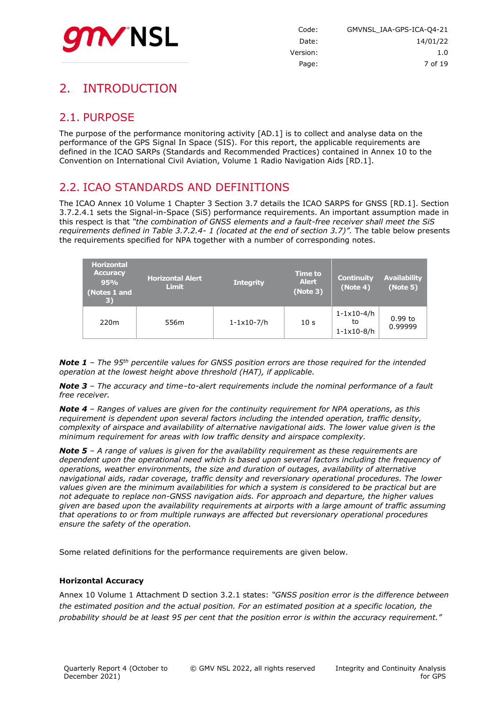

# <span id="page-6-0"></span>2. INTRODUCTION

# <span id="page-6-1"></span>2.1. PURPOSE

The purpose of the performance monitoring activity [AD.1] is to collect and analyse data on the performance of the GPS Signal In Space (SIS). For this report, the applicable requirements are defined in the ICAO SARPs (Standards and Recommended Practices) contained in Annex 10 to the Convention on International Civil Aviation, Volume 1 Radio Navigation Aids [RD.1].

### <span id="page-6-2"></span>2.2. ICAO STANDARDS AND DEFINITIONS

The ICAO Annex 10 Volume 1 Chapter 3 Section 3.7 details the ICAO SARPS for GNSS [RD.1]. Section 3.7.2.4.1 sets the Signal-in-Space (SiS) performance requirements. An important assumption made in this respect is that *"the combination of GNSS elements and a fault-free receiver shall meet the SiS requirements defined in Table 3.7.2.4- 1 (located at the end of section 3.7)".* The table below presents the requirements specified for NPA together with a number of corresponding notes.

| <b>Horizontal</b><br><b>Accuracy</b><br>95%<br>(Notes 1 and<br>$\vert 3)$ | <b>Horizontal Alert</b><br><b>Limit</b> | <b>Integrity</b>        | <b>Time to</b><br><b>Alert</b><br>(Note 3) | Continuity<br>(Note 4)                                   | Availability<br>(Note 5) |
|---------------------------------------------------------------------------|-----------------------------------------|-------------------------|--------------------------------------------|----------------------------------------------------------|--------------------------|
| 220 <sub>m</sub>                                                          | 556m                                    | $1 - 1 \times 10 - 7/h$ | 10 <sub>s</sub>                            | $1 - 1 \times 10 - 4/h$<br>to<br>$1 - 1 \times 10 - 8/h$ | $0.99$ to<br>0.99999     |

*Note 1 – The 95th percentile values for GNSS position errors are those required for the intended operation at the lowest height above threshold (HAT), if applicable.*

*Note 3 – The accuracy and time–to-alert requirements include the nominal performance of a fault free receiver.*

*Note 4 – Ranges of values are given for the continuity requirement for NPA operations, as this requirement is dependent upon several factors including the intended operation, traffic density, complexity of airspace and availability of alternative navigational aids. The lower value given is the minimum requirement for areas with low traffic density and airspace complexity.*

*Note 5 – A range of values is given for the availability requirement as these requirements are dependent upon the operational need which is based upon several factors including the frequency of operations, weather environments, the size and duration of outages, availability of alternative navigational aids, radar coverage, traffic density and reversionary operational procedures. The lower values given are the minimum availabilities for which a system is considered to be practical but are not adequate to replace non-GNSS navigation aids. For approach and departure, the higher values given are based upon the availability requirements at airports with a large amount of traffic assuming that operations to or from multiple runways are affected but reversionary operational procedures ensure the safety of the operation.*

Some related definitions for the performance requirements are given below.

#### **Horizontal Accuracy**

Annex 10 Volume 1 Attachment D section 3.2.1 states: *"GNSS position error is the difference between the estimated position and the actual position. For an estimated position at a specific location, the probability should be at least 95 per cent that the position error is within the accuracy requirement."*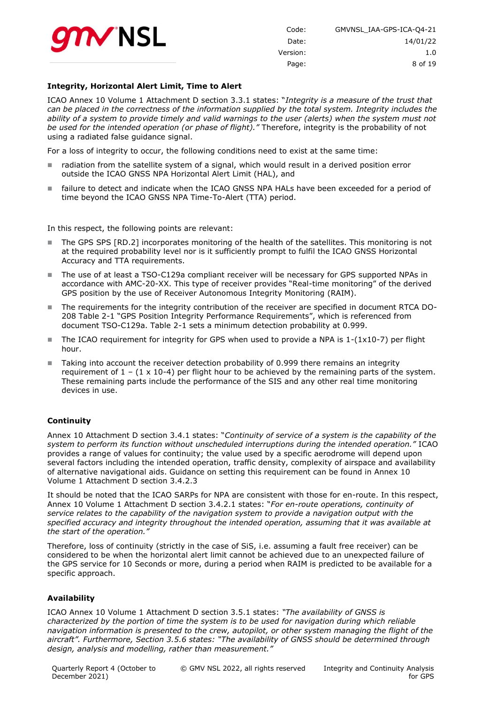

| GMVNSL IAA-GPS-ICA-04-21 | Code:    |
|--------------------------|----------|
| 14/01/22                 | Date:    |
| 1.0                      | Version: |
| 8 of 19                  | Page:    |

#### **Integrity, Horizontal Alert Limit, Time to Alert**

ICAO Annex 10 Volume 1 Attachment D section 3.3.1 states: "*Integrity is a measure of the trust that can be placed in the correctness of the information supplied by the total system. Integrity includes the*  ability of a system to provide timely and valid warnings to the user (alerts) when the system must not *be used for the intended operation (or phase of flight)."* Therefore, integrity is the probability of not using a radiated false guidance signal.

For a loss of integrity to occur, the following conditions need to exist at the same time:

- radiation from the satellite system of a signal, which would result in a derived position error outside the ICAO GNSS NPA Horizontal Alert Limit (HAL), and
- failure to detect and indicate when the ICAO GNSS NPA HALs have been exceeded for a period of time beyond the ICAO GNSS NPA Time-To-Alert (TTA) period.

In this respect, the following points are relevant:

- The GPS SPS [RD.2] incorporates monitoring of the health of the satellites. This monitoring is not at the required probability level nor is it sufficiently prompt to fulfil the ICAO GNSS Horizontal Accuracy and TTA requirements.
- The use of at least a TSO-C129a compliant receiver will be necessary for GPS supported NPAs in accordance with AMC-20-XX. This type of receiver provides "Real-time monitoring" of the derived GPS position by the use of Receiver Autonomous Integrity Monitoring (RAIM).
- The requirements for the integrity contribution of the receiver are specified in document RTCA DO-208 Table 2-1 "GPS Position Integrity Performance Requirements", which is referenced from document TSO-C129a. Table 2-1 sets a minimum detection probability at 0.999.
- The ICAO requirement for integrity for GPS when used to provide a NPA is  $1-(1\times10-7)$  per flight hour.
- Taking into account the receiver detection probability of 0.999 there remains an integrity requirement of  $1 - (1 \times 10^{-4})$  per flight hour to be achieved by the remaining parts of the system. These remaining parts include the performance of the SIS and any other real time monitoring devices in use.

#### **Continuity**

Annex 10 Attachment D section 3.4.1 states: "*Continuity of service of a system is the capability of the system to perform its function without unscheduled interruptions during the intended operation."* ICAO provides a range of values for continuity; the value used by a specific aerodrome will depend upon several factors including the intended operation, traffic density, complexity of airspace and availability of alternative navigational aids. Guidance on setting this requirement can be found in Annex 10 Volume 1 Attachment D section 3.4.2.3

It should be noted that the ICAO SARPs for NPA are consistent with those for en-route. In this respect, Annex 10 Volume 1 Attachment D section 3.4.2.1 states: "*For en-route operations, continuity of service relates to the capability of the navigation system to provide a navigation output with the specified accuracy and integrity throughout the intended operation, assuming that it was available at the start of the operation."*

Therefore, loss of continuity (strictly in the case of SiS, i.e. assuming a fault free receiver) can be considered to be when the horizontal alert limit cannot be achieved due to an unexpected failure of the GPS service for 10 Seconds or more, during a period when RAIM is predicted to be available for a specific approach.

#### **Availability**

ICAO Annex 10 Volume 1 Attachment D section 3.5.1 states: *"The availability of GNSS is characterized by the portion of time the system is to be used for navigation during which reliable navigation information is presented to the crew, autopilot, or other system managing the flight of the aircraft". Furthermore, Section 3.5.6 states: "The availability of GNSS should be determined through design, analysis and modelling, rather than measurement."*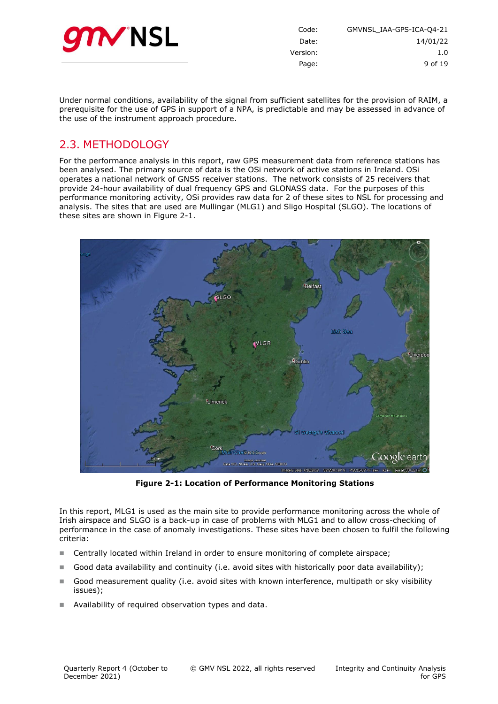

| GMVNSL IAA-GPS-ICA-04-21 | Code:    |
|--------------------------|----------|
| 14/01/22                 | Date:    |
| 1.0                      | Version: |
| 9 of 19                  | Page:    |
|                          |          |

Under normal conditions, availability of the signal from sufficient satellites for the provision of RAIM, a prerequisite for the use of GPS in support of a NPA, is predictable and may be assessed in advance of the use of the instrument approach procedure.

# <span id="page-8-0"></span>2.3. METHODOLOGY

For the performance analysis in this report, raw GPS measurement data from reference stations has been analysed. The primary source of data is the OSi network of active stations in Ireland. OSi operates a national network of GNSS receiver stations. The network consists of 25 receivers that provide 24-hour availability of dual frequency GPS and GLONASS data. For the purposes of this performance monitoring activity, OSi provides raw data for 2 of these sites to NSL for processing and analysis. The sites that are used are Mullingar (MLG1) and Sligo Hospital (SLGO). The locations of these sites are shown in [Figure 2-1.](#page-8-1)



**Figure 2-1: Location of Performance Monitoring Stations**

<span id="page-8-1"></span>In this report, MLG1 is used as the main site to provide performance monitoring across the whole of Irish airspace and SLGO is a back-up in case of problems with MLG1 and to allow cross-checking of performance in the case of anomaly investigations. These sites have been chosen to fulfil the following criteria:

- Centrally located within Ireland in order to ensure monitoring of complete airspace;
- Good data availability and continuity (i.e. avoid sites with historically poor data availability);
- Good measurement quality (i.e. avoid sites with known interference, multipath or sky visibility issues);
- Availability of required observation types and data.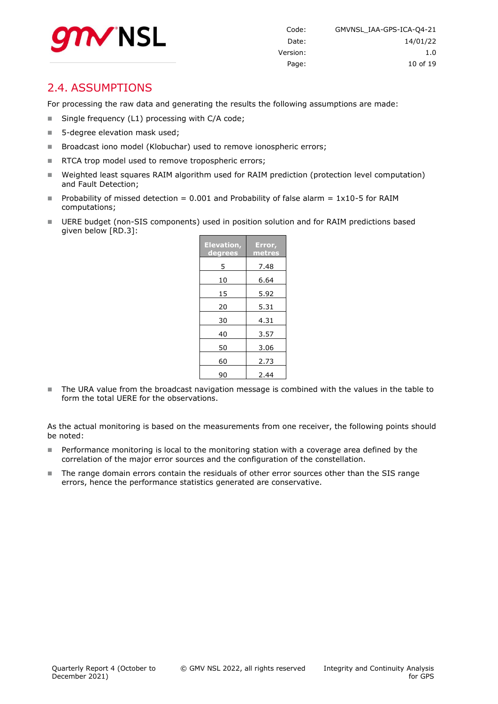

### <span id="page-9-0"></span>2.4. ASSUMPTIONS

For processing the raw data and generating the results the following assumptions are made:

- Single frequency (L1) processing with C/A code;
- 5-degree elevation mask used;
- Broadcast iono model (Klobuchar) used to remove ionospheric errors;
- RTCA trop model used to remove tropospheric errors;
- Weighted least squares RAIM algorithm used for RAIM prediction (protection level computation) and Fault Detection;
- Probability of missed detection = 0.001 and Probability of false alarm =  $1x10-5$  for RAIM computations;
- UERE budget (non-SIS components) used in position solution and for RAIM predictions based given below [RD.3]:

| <b>Elevation,</b><br>degrees | Error,<br>metres |
|------------------------------|------------------|
| 5                            | 7.48             |
| 10                           | 6.64             |
| 15                           | 5.92             |
| 20                           | 5.31             |
| 30                           | 4.31             |
| 40                           | 3.57             |
| 50                           | 3.06             |
| 60                           | 2.73             |
| 90                           | 2.44             |

The URA value from the broadcast navigation message is combined with the values in the table to form the total UERE for the observations.

As the actual monitoring is based on the measurements from one receiver, the following points should be noted:

- **Performance monitoring is local to the monitoring station with a coverage area defined by the** correlation of the major error sources and the configuration of the constellation.
- The range domain errors contain the residuals of other error sources other than the SIS range errors, hence the performance statistics generated are conservative.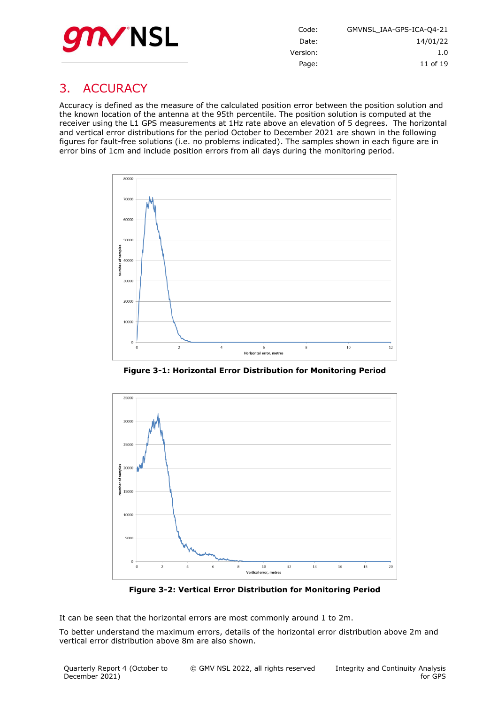

| Code:    | GMVNSL IAA-GPS-ICA-04-21 |
|----------|--------------------------|
| Date:    | 14/01/22                 |
| Version: | 1.0                      |
| Page:    | 11 of 19                 |

# <span id="page-10-0"></span>3. ACCURACY

Accuracy is defined as the measure of the calculated position error between the position solution and the known location of the antenna at the 95th percentile. The position solution is computed at the receiver using the L1 GPS measurements at 1Hz rate above an elevation of 5 degrees. The horizontal and vertical error distributions for the period October to December 2021 are shown in the following figures for fault-free solutions (i.e. no problems indicated). The samples shown in each figure are in error bins of 1cm and include position errors from all days during the monitoring period.



**Figure 3-1: Horizontal Error Distribution for Monitoring Period**

<span id="page-10-1"></span>

**Figure 3-2: Vertical Error Distribution for Monitoring Period**

<span id="page-10-2"></span>It can be seen that the horizontal errors are most commonly around 1 to 2m.

To better understand the maximum errors, details of the horizontal error distribution above 2m and vertical error distribution above 8m are also shown.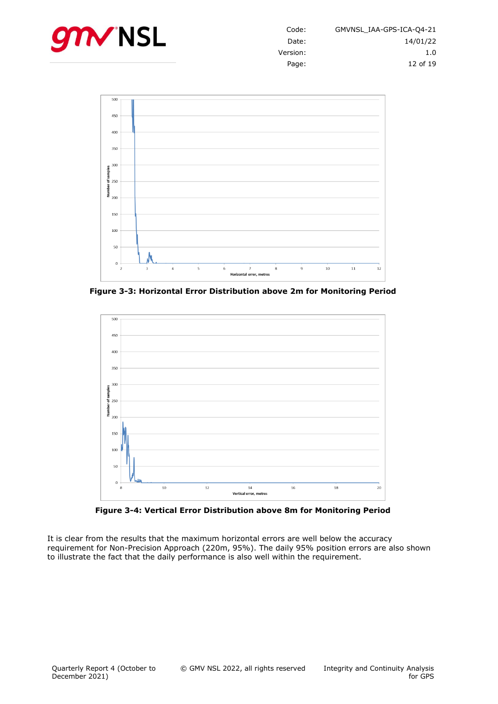



<span id="page-11-0"></span>**Figure 3-3: Horizontal Error Distribution above 2m for Monitoring Period**



**Figure 3-4: Vertical Error Distribution above 8m for Monitoring Period**

<span id="page-11-1"></span>It is clear from the results that the maximum horizontal errors are well below the accuracy requirement for Non-Precision Approach (220m, 95%). The daily 95% position errors are also shown to illustrate the fact that the daily performance is also well within the requirement.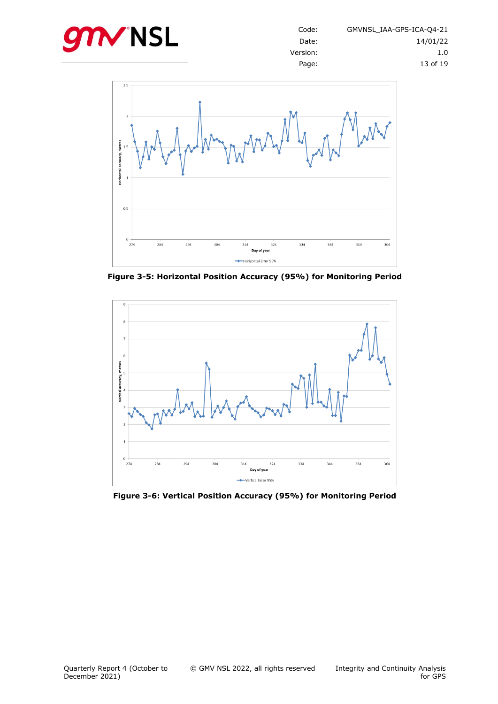



<span id="page-12-0"></span>**Figure 3-5: Horizontal Position Accuracy (95%) for Monitoring Period**



<span id="page-12-1"></span>**Figure 3-6: Vertical Position Accuracy (95%) for Monitoring Period**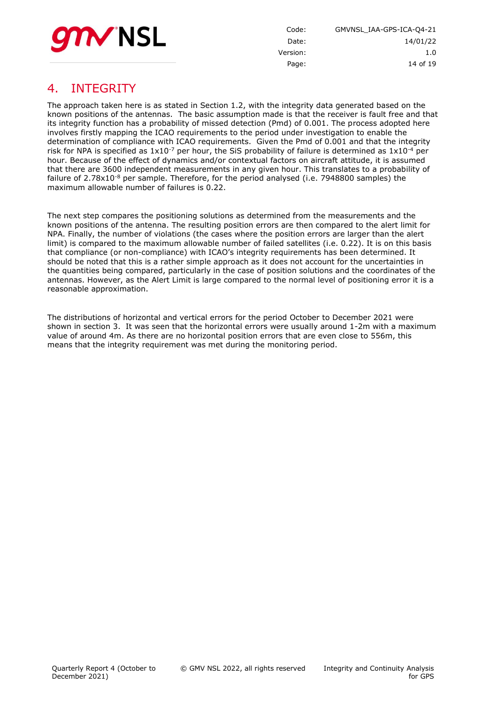

Code: GMVNSL\_IAA-GPS-ICA-Q4-21 Date: 14/01/22 Version: 1.0 Page: 14 of [19](#page-18-0)

# <span id="page-13-0"></span>4. INTEGRITY

The approach taken here is as stated in Section 1.2, with the integrity data generated based on the known positions of the antennas. The basic assumption made is that the receiver is fault free and that its integrity function has a probability of missed detection (Pmd) of 0.001. The process adopted here involves firstly mapping the ICAO requirements to the period under investigation to enable the determination of compliance with ICAO requirements. Given the Pmd of 0.001 and that the integrity risk for NPA is specified as  $1x10^{-7}$  per hour, the SiS probability of failure is determined as  $1x10^{-4}$  per hour. Because of the effect of dynamics and/or contextual factors on aircraft attitude, it is assumed that there are 3600 independent measurements in any given hour. This translates to a probability of failure of  $2.78 \times 10^{-8}$  per sample. Therefore, for the period analysed (i.e. 7948800 samples) the maximum allowable number of failures is 0.22.

The next step compares the positioning solutions as determined from the measurements and the known positions of the antenna. The resulting position errors are then compared to the alert limit for NPA. Finally, the number of violations (the cases where the position errors are larger than the alert limit) is compared to the maximum allowable number of failed satellites (i.e. 0.22). It is on this basis that compliance (or non-compliance) with ICAO's integrity requirements has been determined. It should be noted that this is a rather simple approach as it does not account for the uncertainties in the quantities being compared, particularly in the case of position solutions and the coordinates of the antennas. However, as the Alert Limit is large compared to the normal level of positioning error it is a reasonable approximation.

The distributions of horizontal and vertical errors for the period October to December 2021 were shown in section [3.](#page-10-0) It was seen that the horizontal errors were usually around 1-2m with a maximum value of around 4m. As there are no horizontal position errors that are even close to 556m, this means that the integrity requirement was met during the monitoring period.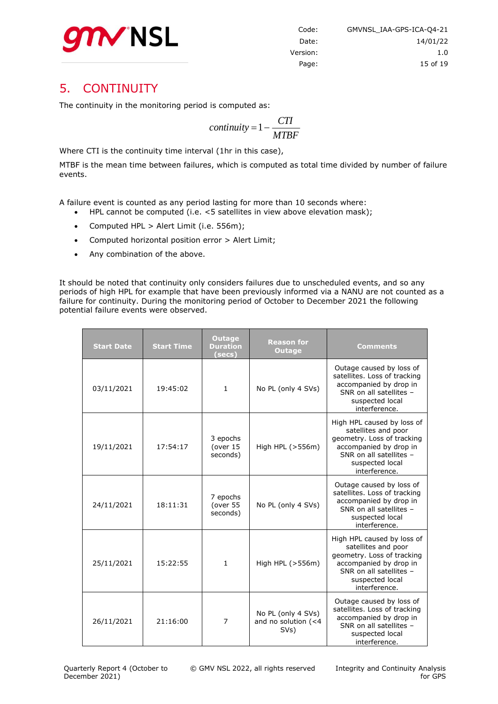

# <span id="page-14-0"></span>5. CONTINUITY

The continuity in the monitoring period is computed as:

$$
continuity = 1 - \frac{CTI}{MTBF}
$$

Where CTI is the continuity time interval (1hr in this case),

MTBF is the mean time between failures, which is computed as total time divided by number of failure events.

A failure event is counted as any period lasting for more than 10 seconds where:

- HPL cannot be computed (i.e. <5 satellites in view above elevation mask);
- Computed HPL > Alert Limit (i.e. 556m);
- Computed horizontal position error > Alert Limit;
- Any combination of the above.

It should be noted that continuity only considers failures due to unscheduled events, and so any periods of high HPL for example that have been previously informed via a NANU are not counted as a failure for continuity. During the monitoring period of October to December 2021 the following potential failure events were observed.

| <b>Start Date</b> | <b>Start Time</b> | <b>Outage</b><br><b>Duration</b><br>(secs) | <b>Reason for</b><br><b>Outage</b>                | <b>Comments</b>                                                                                                                                                          |
|-------------------|-------------------|--------------------------------------------|---------------------------------------------------|--------------------------------------------------------------------------------------------------------------------------------------------------------------------------|
| 03/11/2021        | 19:45:02          | $\mathbf{1}$                               | No PL (only 4 SVs)                                | Outage caused by loss of<br>satellites. Loss of tracking<br>accompanied by drop in<br>SNR on all satellites -<br>suspected local<br>interference.                        |
| 19/11/2021        | 17:54:17          | 3 epochs<br>(over 15<br>seconds)           | High HPL (>556m)                                  | High HPL caused by loss of<br>satellites and poor<br>geometry. Loss of tracking<br>accompanied by drop in<br>SNR on all satellites -<br>suspected local<br>interference. |
| 24/11/2021        | 18:11:31          | 7 epochs<br>(over 55<br>seconds)           | No PL (only 4 SVs)                                | Outage caused by loss of<br>satellites. Loss of tracking<br>accompanied by drop in<br>SNR on all satellites -<br>suspected local<br>interference.                        |
| 25/11/2021        | 15:22:55          | 1                                          | High HPL (>556m)                                  | High HPL caused by loss of<br>satellites and poor<br>geometry. Loss of tracking<br>accompanied by drop in<br>SNR on all satellites -<br>suspected local<br>interference. |
| 26/11/2021        | 21:16:00          | $\overline{7}$                             | No PL (only 4 SVs)<br>and no solution (<4<br>SVs) | Outage caused by loss of<br>satellites. Loss of tracking<br>accompanied by drop in<br>SNR on all satellites -<br>suspected local<br>interference.                        |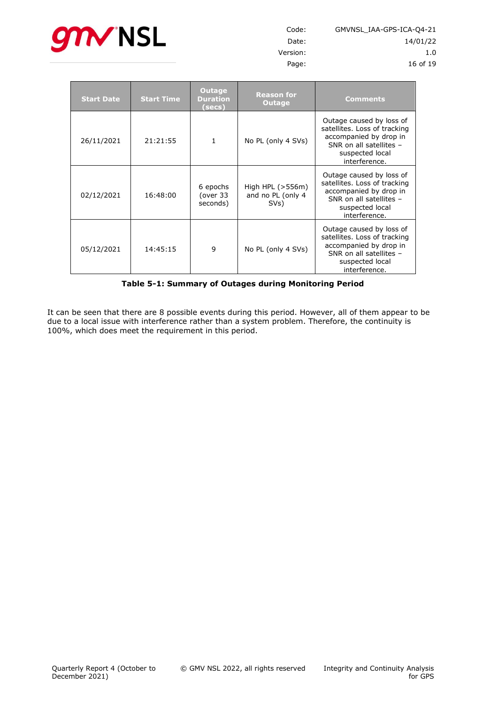

| Code:    | GMVNSL IAA-GPS-ICA-04-21 |
|----------|--------------------------|
| Date:    | 14/01/22                 |
| Version: | 1.0                      |
| Page:    | 16 of 19                 |

| <b>Start Date</b> | <b>Start Time</b> | Outage<br><b>Duration</b><br>(secs) | <b>Reason for</b><br>Outage                     | <b>Comments</b>                                                                                                                                   |
|-------------------|-------------------|-------------------------------------|-------------------------------------------------|---------------------------------------------------------------------------------------------------------------------------------------------------|
| 26/11/2021        | 21:21:55          | 1                                   | No PL (only 4 SVs)                              | Outage caused by loss of<br>satellites. Loss of tracking<br>accompanied by drop in<br>SNR on all satellites -<br>suspected local<br>interference. |
| 02/12/2021        | 16:48:00          | 6 epochs<br>(over 33<br>seconds)    | High HPL $(>556m)$<br>and no PL (only 4<br>SVs) | Outage caused by loss of<br>satellites. Loss of tracking<br>accompanied by drop in<br>SNR on all satellites -<br>suspected local<br>interference. |
| 05/12/2021        | 14:45:15          | 9                                   | No PL (only 4 SVs)                              | Outage caused by loss of<br>satellites. Loss of tracking<br>accompanied by drop in<br>SNR on all satellites -<br>suspected local<br>interference. |

**Table 5-1: Summary of Outages during Monitoring Period**

<span id="page-15-0"></span>It can be seen that there are 8 possible events during this period. However, all of them appear to be due to a local issue with interference rather than a system problem. Therefore, the continuity is 100%, which does meet the requirement in this period.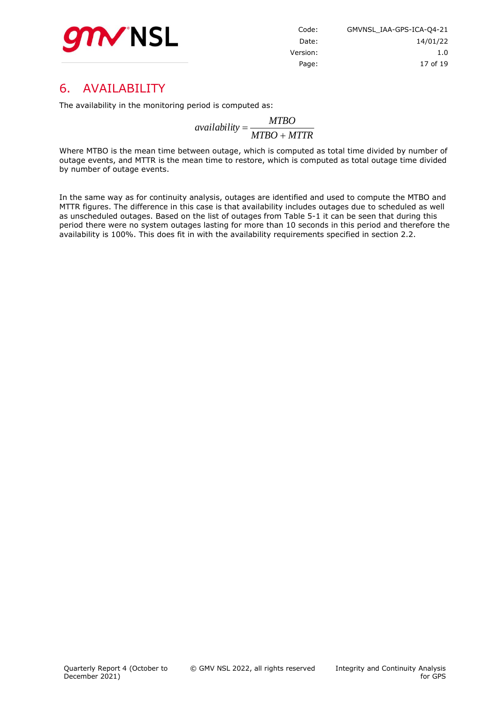

| GMVNSL IAA-GPS-ICA-04-21 |
|--------------------------|
| 14/01/22                 |
| 1.0                      |
| 17 of 19                 |
|                          |

# <span id="page-16-0"></span>6. AVAILABILITY

The availability in the monitoring period is computed as:

*MTBO MTTR MTBO availability*

Where MTBO is the mean time between outage, which is computed as total time divided by number of outage events, and MTTR is the mean time to restore, which is computed as total outage time divided by number of outage events.

In the same way as for continuity analysis, outages are identified and used to compute the MTBO and MTTR figures. The difference in this case is that availability includes outages due to scheduled as well as unscheduled outages. Based on the list of outages from [Table 5-1](#page-15-0) it can be seen that during this period there were no system outages lasting for more than 10 seconds in this period and therefore the availability is 100%. This does fit in with the availability requirements specified in section 2.2.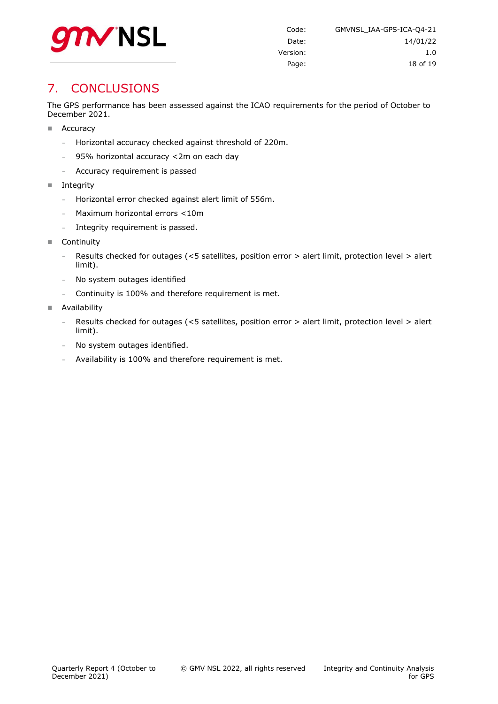

# <span id="page-17-0"></span>7. CONCLUSIONS

The GPS performance has been assessed against the ICAO requirements for the period of October to December 2021.

- Accuracy
	- **-** Horizontal accuracy checked against threshold of 220m.
	- **-** 95% horizontal accuracy <2m on each day
	- **-** Accuracy requirement is passed
- Integrity
	- **-** Horizontal error checked against alert limit of 556m.
	- **-** Maximum horizontal errors <10m
	- **-** Integrity requirement is passed.
- Continuity
	- **-** Results checked for outages (<5 satellites, position error > alert limit, protection level > alert limit).
	- **-** No system outages identified
	- **-** Continuity is 100% and therefore requirement is met.
- **Availability** 
	- **-** Results checked for outages (<5 satellites, position error > alert limit, protection level > alert limit).
	- **-** No system outages identified.
	- **-** Availability is 100% and therefore requirement is met.